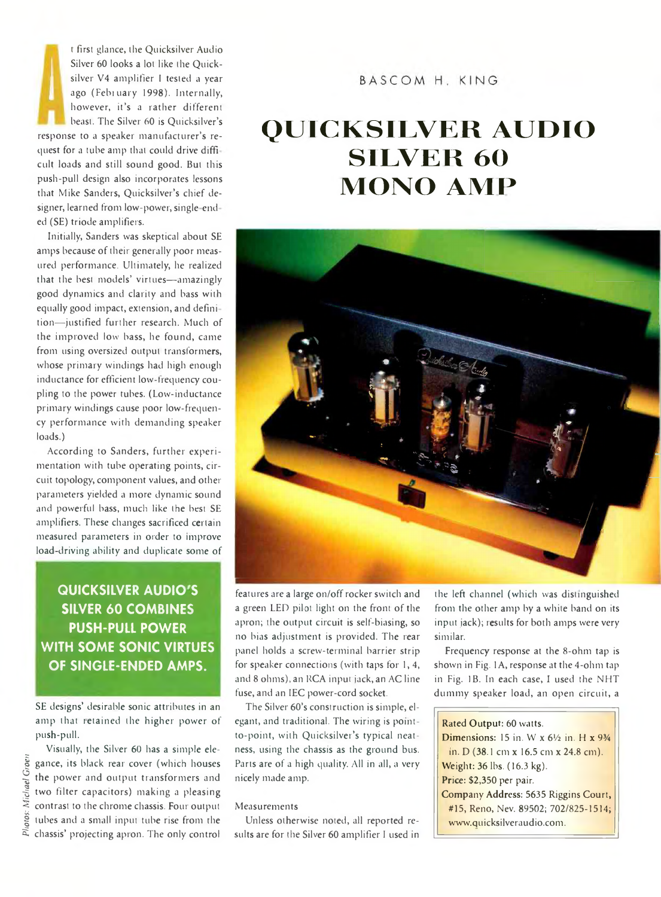f first glance, the Quicksilver Audio Silver 60 looks a lot like the Quicksilver V4 amplifier I tested a year ago (Febtuary 1998). Internally, however, it's a rather different beast. The Silver 60 is Quicksilver's response to a speaker manufacturer's request for a tube amp that could drive diffi cult loads and still sound good. But this push-pull design also incorporates lessons that Mike Sanders, Quicksilver's chief designer, learned from low-power, single end ed (SE) triode amplifiers.

Initially, Sanders was skeptical about SE amps because of their generally poor measured performance. Ultimately, he realized that the best models' virtues—amazingly good dynamics and clarity and bass with equally good impact, extension, and defini tion—justified further research. Much of the improved low bass, he found, came from using oversized output transformers, whose primary windings had high enough inductance for efficient low frequency coupling to the power tubes. (Low-inductance primary windings cause poor low-frequency performance with demanding speaker loads.)

According to Sanders, further experimentation with tube operating points, circuit topology, component values, and other parameters yielded a more dynamic sound and powerful bass, much like the best SE amplifiers. These changes sacrificed certain measured parameters in order to improve load-driving ability and duplicate some of

### **QUICKSILVER AUDIO 5 SILVER 60 COMBINES PUSH-PULL POWER WITH SOME SONIC VIRTUES OF SINGLE-ENDED AMPS.**

SE designs' desirable sonic attributes in an amp that tetained the higher power of push-pull.

Visually, the Silver 60 has a simple elegance, its black rear cover (which houses the power and output transformers and two filter capacitors) making a pleasing contrast to the chrome chassis. Four output tubes and a small input tube rise from the chassis' projecting apron. The only control

### BASCOM H. KING

# **Q U IC K S IL V E R A U D IO SILVER 60 MONO AMP**



features are a large on/off rocker switch and a green LED pilot light on the front of the apron; the output circuit is self-biasing, so no bias adjustment is provided. The rear panel holds a screw-terminal barrier strip for speaker connections (with taps for 1, 4, and 8 ohms), an RCA input jack, an AC line fuse, and an IEC power-cord socket.

The Silver 60's construction is simple, elegant, and traditional. The wiring is pointto-point, with Quicksilver's typical neatness, using the chassis as the ground bus. Parts are of a high quality. All in all, a very nicely made amp.

#### Measurements

Unless otherwise noted, all reported results are for the Silver 60 amplifier I used in the left channel (which was distinguished from the other amp by a white band on its input jack); results for both amps were very similar.

Frequency response at the 8-ohm tap is shown in Fig. 1A, response at the 4-ohm tap in Fig. IB. In each case, I used the NHT dummy speaker load, an open circuit, a

#### Rated Output: 60 watts.

Dimensions: 15 in. W x *6V2* in. H x 9*¥4* in. D (38.1 cm x 16.5 cm x 24.8 cm). Weight: 36 lbs. (16.3 kg). Price: \$2,350 per pair. Company Address: 5635 Riggins Court, #15, Reno, Nev. 89502; 702/825-1514; [www.quicksilveraudio.com](http://www.quicksilveraudio.com).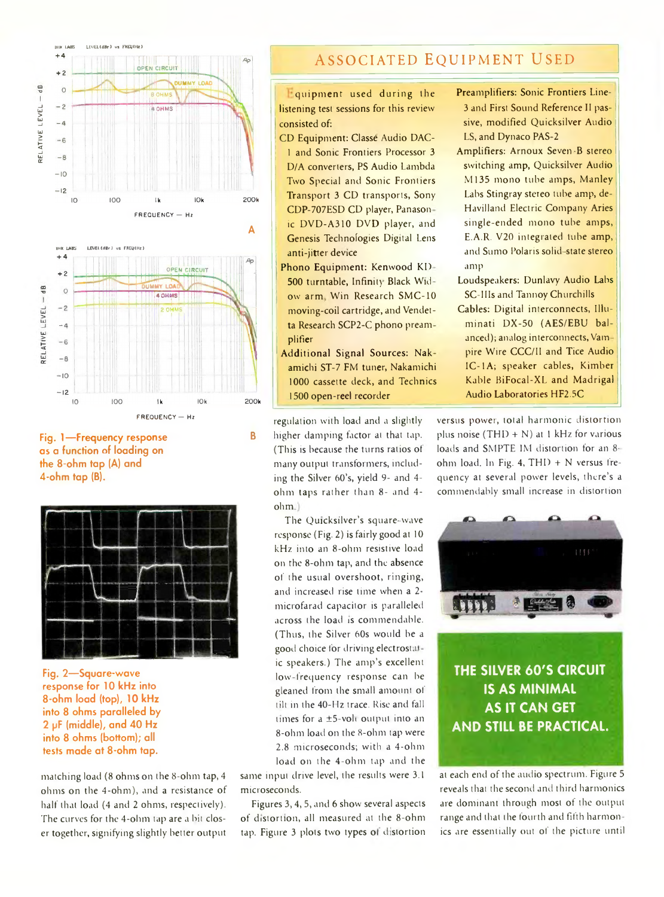

**Fig. 1— Frequency response as a function of loading on the 8-ohm tap (A) and 4-ohm tap (B).**



**Fig, 2— Square-wave response for 10 kHz into 8-ohm load (top), 10 kHz into 8 ohms paralleled by 2 pF (middle), and 40 Hz into 8 ohms (bottom); all tests made at 8-ohm tap.**

matching load (8 ohms on the 8-ohm tap, 4 ohms on the 4-ohm), and a resistance of half that load (4 and 2 ohms, respectively). The curves for the 4-ohm tap are a bit closer together, signifying slightly better output

## **ASSOCIATED EQUIPMENT USED**

**Equipment** used during the listening test sessions for this review consisted of:

- CD Equipment: Classe Audio DAC-1 and Sonic Frontiers Processor 3 D/A converters, PS Audio Lambda Two Special and Sonic Frontiers Transport 3 CD transports, Sony CDP-707ESD CD player, Panason ic DVD-A310 DVD player, and Genesis Technofogies Digital Lens anti-jitter device
- Phono Equipment: Kenwood KD 500 turntable, Infinity Black Widow arm Win Research SMC-10 moving-coil cartridge, and Vendetta Research SCP2-C phono pream plifier
- Additional Signal Sources: Nak amichi ST-7 FM tuner, Nakamichi 1000 cassette deck, and Technics 1500 open-reel recorder

regulation with load and a slightly **B higher damping factor at that tap.** (This is because the turns ratios ot many output transformers, including the Silver 60's, yield 9- and 4 ohm taps rather than 8- and 4 ohm

> The Quicksilver's square-wave response (Fig. 2) is fairly good at 10 kHz into an 8-ohm resistive load on the 8-ohm tap, and the absence of the usual overshoot, ringing, and increased rise time when a 2 microfarad capacitor is paralleled across the load is commendable. (Thus, the Silver 60s would be a good choice for driving electrostatic speakers.) The amp's excellent low-frequency response can be gleaned from the small amount of tilt in the 40-Hz trace. Rise and fall times for a ±5-voli output into an 8-ohm load on the 8-ohm tap were 2.8 microseconds; with a 4-ohm load on the 4-ohm tap and the

same input drive level, the results were 3.1 microseconds.

Figures 3,4, 5, and 6 show several aspects of distortion, all measured at the 8-ohm tap. Figure 3 plots two types of distortion

- Preamplifiers: Sonic Frontiers Line-3 and First Sound Reference II passive, modified Quicksilver Audio LS, and Dynaco PAS-2
- Amplifiers: Arnoux Seven -B stereo switching amp, Quicksilver Audio M135 mono tube amps, Manley Labs Stingray stereo tube amp, de-Havilland Electric Company Aries single-ended mono tube amps, E.A.R. V20 integrated tube amp, and Sumo Polaris solid-state stereo amp
- Loudspeakers: Dunlavy Audio Labs SC-IlIs and Tannoy Churchills
- Cables: Digital interconnects, Illuminati DX-50 (AES/EBU balanced); analog interconnects, Vam pire Wire CCC/II and Tice Audio IC-1A; speaker cables, Kimber Kahle BiFocal-XL and Madrigal Audio Laboratories HF2.5C

versus power, iotal harmonic distortion plus noise (THD + N) at 1 kHz for various loads and SMPTE IM distortion for an 8 ohm load. In Fig. 4, THD  $+$  N versus frequency at several power levels, there's a commendably small increase in distortion



**THE SILVER 60'S CIRCUIT IS AS MINIMAL AS IT CAN GET AND STILL BE PRACTICAL.**

at each end of the audio spectrum. Figure 5 reveals that the second and third harmonics are dominant through most of the output range and that the fourth and fifth harmonics are essentially out of the picture until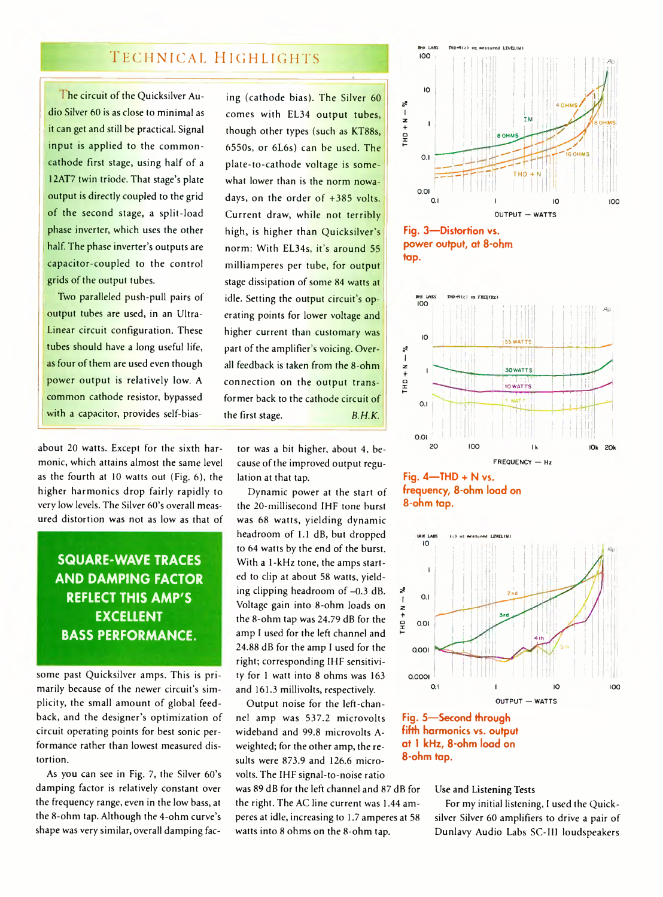### **T echnical H ighlights**

1 he circuit of the Quicksilver Audio Silver 60 is as close to minimal as it can get and still be practical. Signal input is applied to the commoncathode first stage, using half of a 12AT7 twin triode. That stage's plate output is directly coupled to the grid of the second stage, a split-load phase inverter, which uses the other half. The phase inverter's outputs are capacitor-coupled to the control grids of the output tubes.

Two paralleled push-pull pairs of output tubes are used, in an Ultra-Linear circuit configuration. These tubes should have a long useful life, as four of them are used even though power output is relatively low. A common cathode resistor, bypassed with a capacitor, provides self-bias-

about 20 watts. Except for the sixth harmonic, which attains almost the same level as the fourth at 10 watts out (Fig. 6), the higher harmonics drop fairly rapidly to very low levels. The Silver 60's overall measured distortion was not as low as that of

**SQUARE-WAVE TRACES AND DAMPING FACTOR REFLECT THIS AMP'S EXCELLENT BASS PERFORMANCE.**

some past Quicksilver amps. This is primarily because of the newer circuit's simplicity, the small amount of global feedback, and the designer's optimization of circuit operating points for best sonic performance rather than lowest measured distortion.

As you can see in Fig. 7, the Silver 60's damping factor is relatively constant over the frequency range, even in the low bass, at the 8-ohm tap. Although the 4-ohm curve's shape was very similar, overall damping fac-

ing (cathode bias). The Silver 60 comes with EL34 output tubes, though other types (such as KT88s, 6550s, or 6L6s) can be used. The plate-to-cathode voltage is somewhat lower than is the norm nowadays, on the order of +385 volts. Current draw, while not terribly high, is higher than Quicksilver's norm: With EL34s, it's around 55 milliamperes per tube, for output stage dissipation of some 84 watts at idle. Setting the output circuit's operating points for lower voltage and higher current than customary was part of the amplifier's voicing. Overall feedback is taken from the 8-ohm connection on the output transformer back to the cathode circuit of the first stage. *B.H.K.*

tor was a bit higher, about 4, because of the improved output regulation at that tap.

Dynamic power at the start of the 20-millisecond IHF tone burst was 68 watts, yielding dynamic headroom of 1.1 dB, but dropped to 64 watts by the end of the burst. With a 1-kHz tone, the amps started to clip at about 58 watts, yielding clipping headroom of  $-0.3$  dB. Voltage gain into 8-ohm loads on the 8-ohm tap was 24.79 dB for the amp I used for the left channel and 24.88 dB for the amp I used for the right; corresponding IHF sensitivity for 1 watt into 8 ohms was 163 and 161.3 millivolts, respectively.

Output noise for the left-channel amp was 537.2 microvolts wideband and 99.8 microvolts Aweighted; for the other amp, the results were 873.9 and 126.6 microvolts. The IHF signal-to-noise ratio

was 89 dB for the left channel and 87 dB for the right. The AC line current was 1.44 amperes at idle, increasing to 1.7 amperes at 58 watts into 8 ohms on the 8-ohm tap.







**Fig. 4— THD + N vs. frequency, 8-ohm load on 8-ohm tap.**





#### Use and Listening Tests

For my initial listening, I used the Quicksilver Silver 60 amplifiers to drive a pair of Dunlavy Audio Labs SC-III loudspeakers